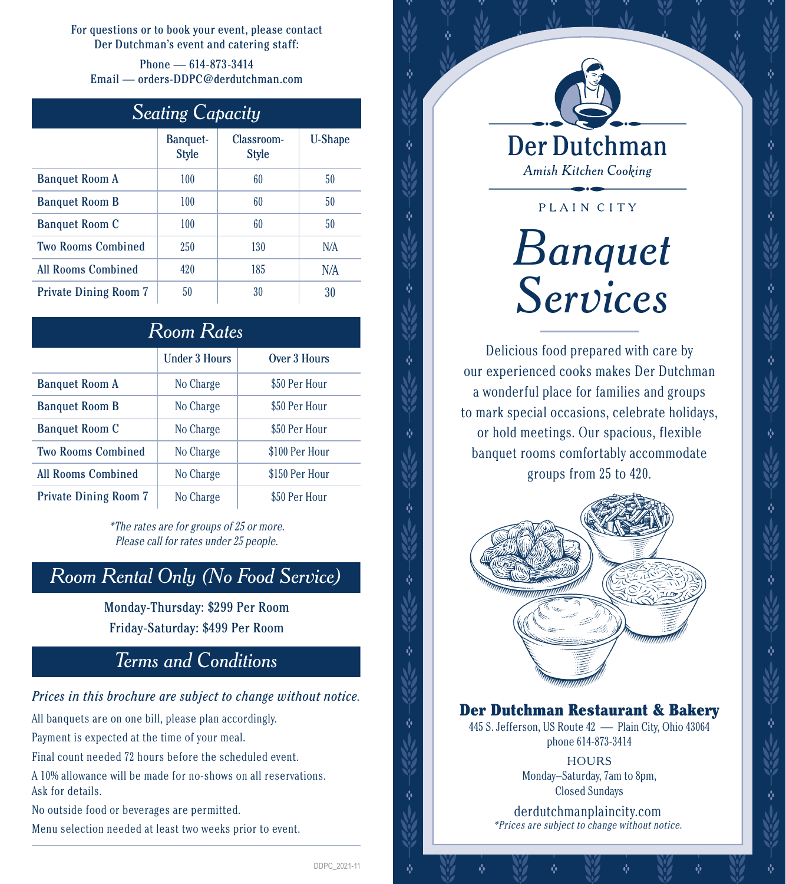For questions or to book your event, please contact Der Dutchman's event and catering staff:

Phone — 614-873-3414 Email — orders-DDPC@derdutchman.com

| <b>Seating Capacity</b> |  |
|-------------------------|--|
|-------------------------|--|

|                              | <b>Banquet-</b><br><b>Style</b> | Classroom-<br><b>Style</b> | <b>U-Shape</b> |
|------------------------------|---------------------------------|----------------------------|----------------|
| <b>Banquet Room A</b>        | 100                             | 60                         | 50             |
| <b>Banquet Room B</b>        | 100                             | 60                         | 50             |
| <b>Banquet Room C</b>        | 100                             | 60                         | 50             |
| <b>Two Rooms Combined</b>    | 250                             | 130                        | N/A            |
| <b>All Rooms Combined</b>    | 420                             | 185                        | N/A            |
| <b>Private Dining Room 7</b> | 50                              | 30                         | 30             |

| Room Rates                   |                      |                |  |  |
|------------------------------|----------------------|----------------|--|--|
|                              | <b>Under 3 Hours</b> | Over 3 Hours   |  |  |
| <b>Banquet Room A</b>        | No Charge            | \$50 Per Hour  |  |  |
| <b>Banquet Room B</b>        | No Charge            | \$50 Per Hour  |  |  |
| <b>Banquet Room C</b>        | No Charge            | \$50 Per Hour  |  |  |
| <b>Two Rooms Combined</b>    | No Charge            | \$100 Per Hour |  |  |
| <b>All Rooms Combined</b>    | No Charge            | \$150 Per Hour |  |  |
| <b>Private Dining Room 7</b> | No Charge            | \$50 Per Hour  |  |  |

\*The rates are for groups of 25 or more. Please call for rates under 25 people.

### *Room Rental Only (No Food Service)*

Monday-Thursday: \$299 Per Room Friday-Saturday: \$499 Per Room

## *Terms and Conditions*

*Prices in this brochure are subject to change without notice.*

All banquets are on one bill, please plan accordingly.

Payment is expected at the time of your meal.

Final count needed 72 hours before the scheduled event.

A 10% allowance will be made for no-shows on all reservations. Ask for details.

No outside food or beverages are permitted.

Menu selection needed at least two weeks prior to event.



**Amish Kitchen Cooking** 

# PLAIN CITY *Banquet Services*

Delicious food prepared with care by our experienced cooks makes Der Dutchman a wonderful place for families and groups to mark special occasions, celebrate holidays, or hold meetings. Our spacious, flexible banquet rooms comfortably accommodate groups from 25 to 420.



### Der Dutchman Restaurant & Bakery

445 S. Jefferson, US Route 42 — Plain City, Ohio 43064 phone 614-873-3414

> **HOURS** Monday–Saturday, 7am to 8pm, Closed Sundays

derdutchmanplaincity.com \*Prices are subject to change without notice.